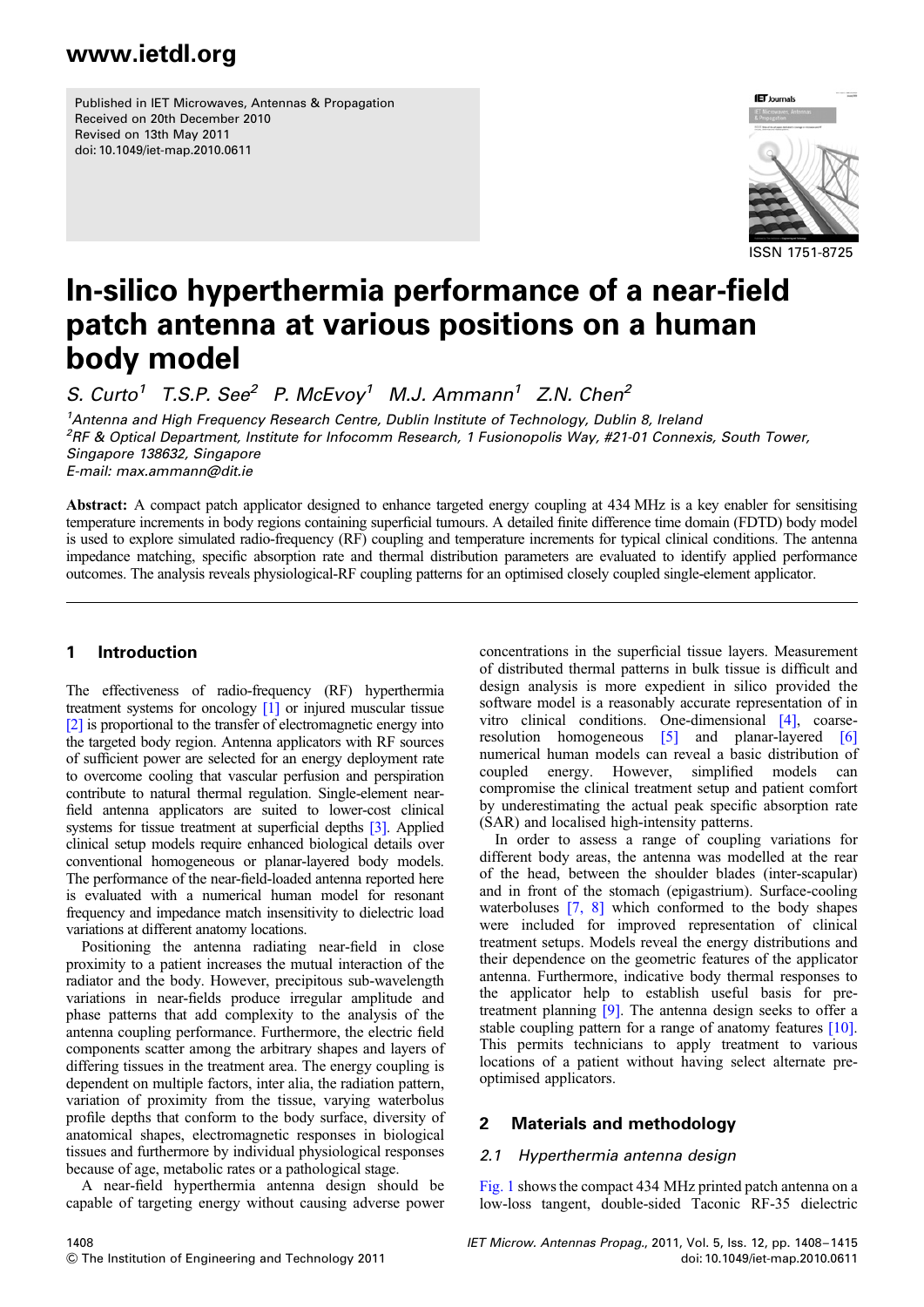Published in IET Microwaves, Antennas & Propagation Received on 20th December 2010 Revised on 13th May 2011 doi: 10.1049/iet-map.2010.0611



# In-silico hyperthermia performance of a near-field patch antenna at various positions on a human body model

S. Curto<sup>1</sup> T.S.P. See<sup>2</sup> P. McEvoy<sup>1</sup> M.J. Ammann<sup>1</sup> Z.N. Chen<sup>2</sup>

<sup>1</sup> Antenna and High Frequency Research Centre, Dublin Institute of Technology, Dublin 8, Ireland <sup>2</sup>RF & Optical Department, Institute for Infocomm Research, 1 Fusionopolis Way, #21-01 Connexis, South Tower, Singapore 138632, Singapore E-mail: max.ammann@dit.ie

Abstract: A compact patch applicator designed to enhance targeted energy coupling at 434 MHz is a key enabler for sensitising temperature increments in body regions containing superficial tumours. A detailed finite difference time domain (FDTD) body model is used to explore simulated radio-frequency (RF) coupling and temperature increments for typical clinical conditions. The antenna impedance matching, specific absorption rate and thermal distribution parameters are evaluated to identify applied performance outcomes. The analysis reveals physiological-RF coupling patterns for an optimised closely coupled single-element applicator.

### 1 Introduction

The effectiveness of radio-frequency (RF) hyperthermia treatment systems for oncology [1] or injured muscular tissue [2] is proportional to the transfer of electromagnetic energy into the targeted body region. Antenna applicators with RF sources of sufficient power are selected for an energy deployment rate to overcome cooling that vascular perfusion and perspiration contribute to natural thermal regulation. Single-element nearfield antenna applicators are suited to lower-cost clinical systems for tissue treatment at superficial depths [3]. Applied clinical setup models require enhanced biological details over conventional homogeneous or planar-layered body models. The performance of the near-field-loaded antenna reported here is evaluated with a numerical human model for resonant frequency and impedance match insensitivity to dielectric load variations at different anatomy locations.

Positioning the antenna radiating near-field in close proximity to a patient increases the mutual interaction of the radiator and the body. However, precipitous sub-wavelength variations in near-fields produce irregular amplitude and phase patterns that add complexity to the analysis of the antenna coupling performance. Furthermore, the electric field components scatter among the arbitrary shapes and layers of differing tissues in the treatment area. The energy coupling is dependent on multiple factors, inter alia, the radiation pattern, variation of proximity from the tissue, varying waterbolus profile depths that conform to the body surface, diversity of anatomical shapes, electromagnetic responses in biological tissues and furthermore by individual physiological responses because of age, metabolic rates or a pathological stage.

A near-field hyperthermia antenna design should be capable of targeting energy without causing adverse power concentrations in the superficial tissue layers. Measurement of distributed thermal patterns in bulk tissue is difficult and design analysis is more expedient in silico provided the software model is a reasonably accurate representation of in vitro clinical conditions. One-dimensional [4], coarseresolution homogeneous [5] and planar-layered [6] numerical human models can reveal a basic distribution of coupled energy. However, simplified models can compromise the clinical treatment setup and patient comfort by underestimating the actual peak specific absorption rate (SAR) and localised high-intensity patterns.

In order to assess a range of coupling variations for different body areas, the antenna was modelled at the rear of the head, between the shoulder blades (inter-scapular) and in front of the stomach (epigastrium). Surface-cooling waterboluses [7, 8] which conformed to the body shapes were included for improved representation of clinical treatment setups. Models reveal the energy distributions and their dependence on the geometric features of the applicator antenna. Furthermore, indicative body thermal responses to the applicator help to establish useful basis for pretreatment planning [9]. The antenna design seeks to offer a stable coupling pattern for a range of anatomy features [10]. This permits technicians to apply treatment to various locations of a patient without having select alternate preoptimised applicators.

### 2 Materials and methodology

### 2.1 Hyperthermia antenna design

Fig. 1 shows the compact 434 MHz printed patch antenna on a low-loss tangent, double-sided Taconic RF-35 dielectric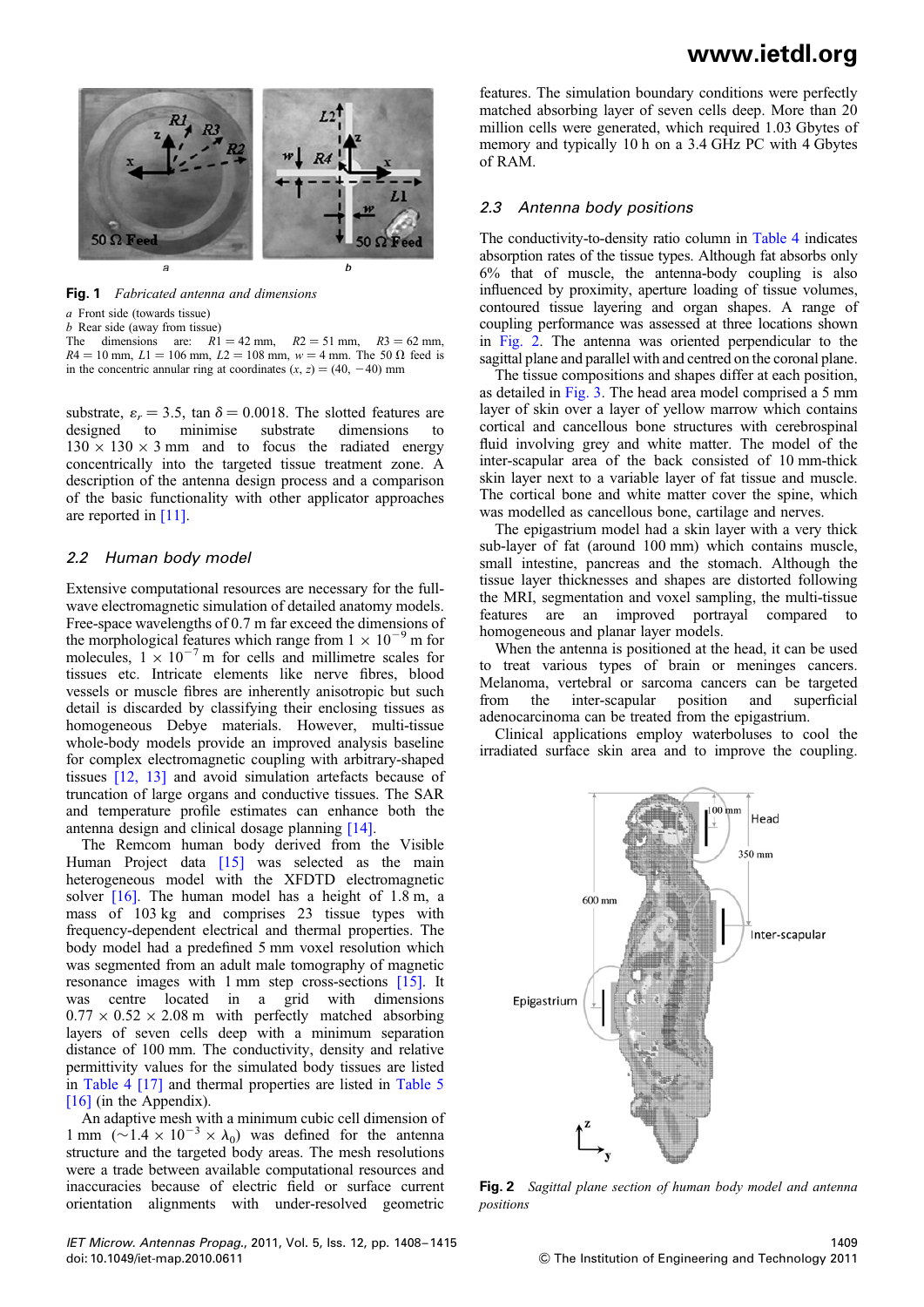

Fig. 1 Fabricated antenna and dimensions

a Front side (towards tissue)

b Rear side (away from tissue)

The dimensions are:  $R1 = 42$  mm,  $R2 = 51$  mm,  $R3 = 62$  mm,  $R4 = 10$  mm,  $L1 = 106$  mm,  $L2 = 108$  mm,  $w = 4$  mm. The 50  $\Omega$  feed is in the concentric annular ring at coordinates  $(x, z) = (40, -40)$  mm

substrate,  $\varepsilon_r = 3.5$ , tan  $\delta = 0.0018$ . The slotted features are designed to minimise substrate dimensions to to minimise substrate dimensions to  $130 \times 130 \times 3$  mm and to focus the radiated energy concentrically into the targeted tissue treatment zone. A description of the antenna design process and a comparison of the basic functionality with other applicator approaches are reported in [11].

### 2.2 Human body model

Extensive computational resources are necessary for the fullwave electromagnetic simulation of detailed anatomy models. Free-space wavelengths of 0.7 m far exceed the dimensions of the morphological features which range from  $1 \times 10^{-9}$  m for molecules,  $1 \times 10^{-7}$  m for cells and millimetre scales for tissues etc. Intricate elements like nerve fibres, blood vessels or muscle fibres are inherently anisotropic but such detail is discarded by classifying their enclosing tissues as homogeneous Debye materials. However, multi-tissue whole-body models provide an improved analysis baseline for complex electromagnetic coupling with arbitrary-shaped tissues [12, 13] and avoid simulation artefacts because of truncation of large organs and conductive tissues. The SAR and temperature profile estimates can enhance both the antenna design and clinical dosage planning [14].

The Remcom human body derived from the Visible Human Project data [15] was selected as the main heterogeneous model with the XFDTD electromagnetic solver [16]. The human model has a height of 1.8 m, a mass of 103 kg and comprises 23 tissue types with frequency-dependent electrical and thermal properties. The body model had a predefined 5 mm voxel resolution which was segmented from an adult male tomography of magnetic resonance images with 1 mm step cross-sections [15]. It was centre located in a grid with dimensions  $0.77 \times 0.52 \times 2.08$  m with perfectly matched absorbing layers of seven cells deep with a minimum separation distance of 100 mm. The conductivity, density and relative permittivity values for the simulated body tissues are listed in Table 4 [17] and thermal properties are listed in Table 5 [16] (in the Appendix).

An adaptive mesh with a minimum cubic cell dimension of 1 mm  $(\sim 1.4 \times 10^{-3} \times \lambda_0)$  was defined for the antenna structure and the targeted body areas. The mesh resolutions were a trade between available computational resources and inaccuracies because of electric field or surface current orientation alignments with under-resolved geometric

features. The simulation boundary conditions were perfectly matched absorbing layer of seven cells deep. More than 20 million cells were generated, which required 1.03 Gbytes of memory and typically 10 h on a 3.4 GHz PC with 4 Gbytes of RAM.

#### 2.3 Antenna body positions

The conductivity-to-density ratio column in Table 4 indicates absorption rates of the tissue types. Although fat absorbs only 6% that of muscle, the antenna-body coupling is also influenced by proximity, aperture loading of tissue volumes, contoured tissue layering and organ shapes. A range of coupling performance was assessed at three locations shown in Fig. 2. The antenna was oriented perpendicular to the sagittal plane and parallel with and centred on the coronal plane.

The tissue compositions and shapes differ at each position, as detailed in Fig. 3. The head area model comprised a 5 mm layer of skin over a layer of yellow marrow which contains cortical and cancellous bone structures with cerebrospinal fluid involving grey and white matter. The model of the inter-scapular area of the back consisted of 10 mm-thick skin layer next to a variable layer of fat tissue and muscle. The cortical bone and white matter cover the spine, which was modelled as cancellous bone, cartilage and nerves.

The epigastrium model had a skin layer with a very thick sub-layer of fat (around 100 mm) which contains muscle, small intestine, pancreas and the stomach. Although the tissue layer thicknesses and shapes are distorted following the MRI, segmentation and voxel sampling, the multi-tissue features are an improved portrayal compared to homogeneous and planar layer models.

When the antenna is positioned at the head, it can be used to treat various types of brain or meninges cancers. Melanoma, vertebral or sarcoma cancers can be targeted from the inter-scapular position and superficial adenocarcinoma can be treated from the epigastrium.

Clinical applications employ waterboluses to cool the irradiated surface skin area and to improve the coupling.



Fig. 2 Sagittal plane section of human body model and antenna positions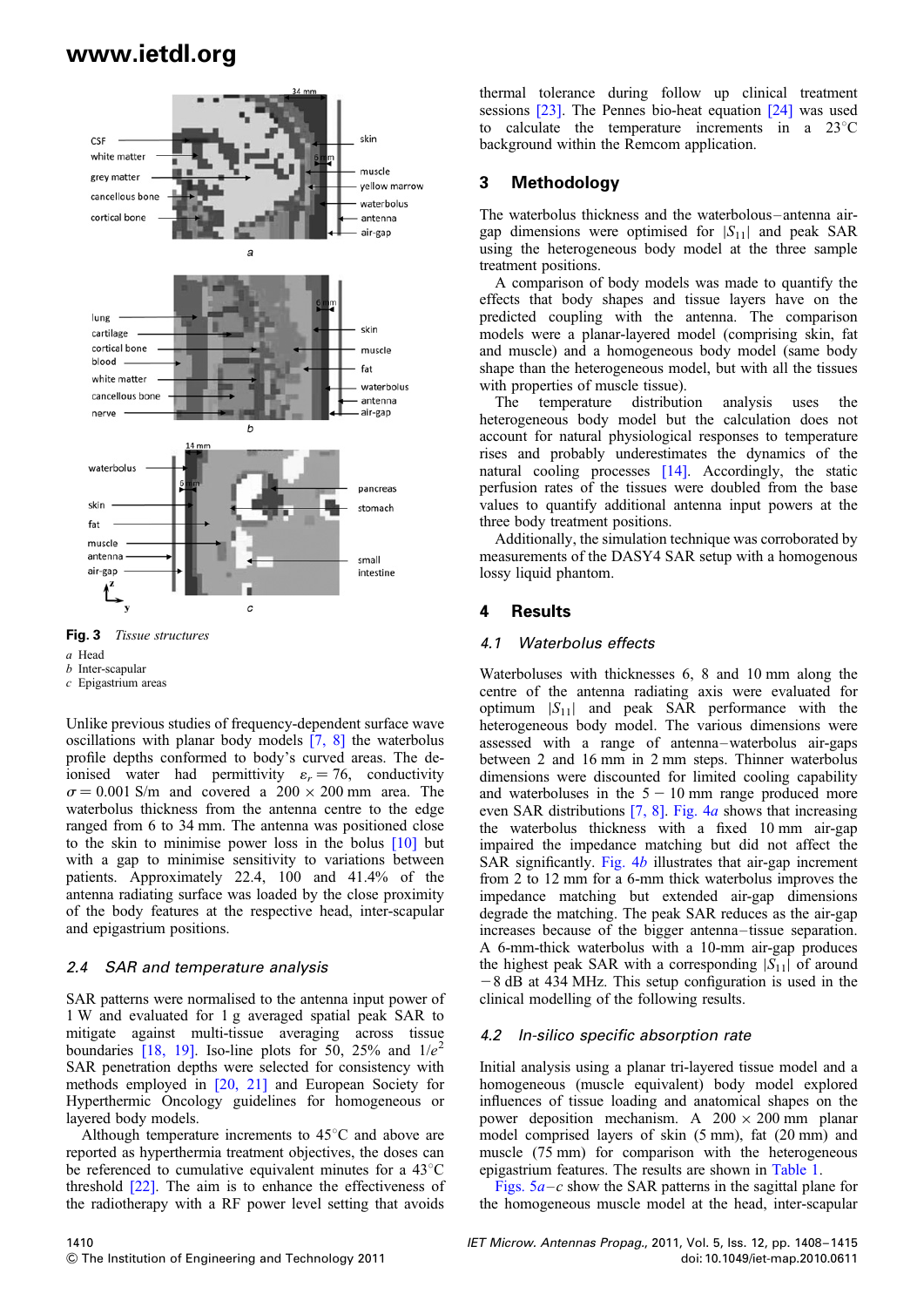



Unlike previous studies of frequency-dependent surface wave oscillations with planar body models [7, 8] the waterbolus profile depths conformed to body's curved areas. The deionised water had permittivity  $\varepsilon_r = 76$ , conductivity  $\sigma = 0.001$  S/m and covered a 200 × 200 mm area. The waterbolus thickness from the antenna centre to the edge ranged from 6 to 34 mm. The antenna was positioned close to the skin to minimise power loss in the bolus [10] but with a gap to minimise sensitivity to variations between patients. Approximately 22.4, 100 and 41.4% of the antenna radiating surface was loaded by the close proximity of the body features at the respective head, inter-scapular and epigastrium positions.

### 2.4 SAR and temperature analysis

SAR patterns were normalised to the antenna input power of 1 W and evaluated for 1 g averaged spatial peak SAR to mitigate against multi-tissue averaging across tissue boundaries [18, 19]. Iso-line plots for 50, 25% and  $1/e^2$ SAR penetration depths were selected for consistency with methods employed in [20, 21] and European Society for Hyperthermic Oncology guidelines for homogeneous or layered body models.

Although temperature increments to  $45^{\circ}$ C and above are reported as hyperthermia treatment objectives, the doses can be referenced to cumulative equivalent minutes for a  $43^{\circ}$ C threshold [22]. The aim is to enhance the effectiveness of the radiotherapy with a RF power level setting that avoids

thermal tolerance during follow up clinical treatment sessions [23]. The Pennes bio-heat equation [24] was used to calculate the temperature increments in a  $23^{\circ}$ C background within the Remcom application.

### 3 Methodology

The waterbolus thickness and the waterbolous –antenna airgap dimensions were optimised for  $|S_{11}|$  and peak SAR using the heterogeneous body model at the three sample treatment positions.

A comparison of body models was made to quantify the effects that body shapes and tissue layers have on the predicted coupling with the antenna. The comparison models were a planar-layered model (comprising skin, fat and muscle) and a homogeneous body model (same body shape than the heterogeneous model, but with all the tissues with properties of muscle tissue).

The temperature distribution analysis uses the heterogeneous body model but the calculation does not account for natural physiological responses to temperature rises and probably underestimates the dynamics of the natural cooling processes [14]. Accordingly, the static perfusion rates of the tissues were doubled from the base values to quantify additional antenna input powers at the three body treatment positions.

Additionally, the simulation technique was corroborated by measurements of the DASY4 SAR setup with a homogenous lossy liquid phantom.

### 4 Results

### 4.1 Waterbolus effects

Waterboluses with thicknesses 6, 8 and 10 mm along the centre of the antenna radiating axis were evaluated for optimum  $|S_{11}|$  and peak SAR performance with the heterogeneous body model. The various dimensions were assessed with a range of antenna –waterbolus air-gaps between 2 and 16 mm in 2 mm steps. Thinner waterbolus dimensions were discounted for limited cooling capability and waterboluses in the  $5 - 10$  mm range produced more even SAR distributions [7, 8]. Fig. 4a shows that increasing the waterbolus thickness with a fixed 10 mm air-gap impaired the impedance matching but did not affect the SAR significantly. Fig.  $4b$  illustrates that air-gap increment from 2 to 12 mm for a 6-mm thick waterbolus improves the impedance matching but extended air-gap dimensions degrade the matching. The peak SAR reduces as the air-gap increases because of the bigger antenna–tissue separation. A 6-mm-thick waterbolus with a 10-mm air-gap produces the highest peak SAR with a corresponding  $|S_{11}|$  of around  $-8$  dB at 434 MHz. This setup configuration is used in the clinical modelling of the following results.

### 4.2 In-silico specific absorption rate

Initial analysis using a planar tri-layered tissue model and a homogeneous (muscle equivalent) body model explored influences of tissue loading and anatomical shapes on the power deposition mechanism. A  $200 \times 200$  mm planar model comprised layers of skin (5 mm), fat (20 mm) and muscle (75 mm) for comparison with the heterogeneous epigastrium features. The results are shown in Table 1.

Figs.  $5a-c$  show the SAR patterns in the sagittal plane for the homogeneous muscle model at the head, inter-scapular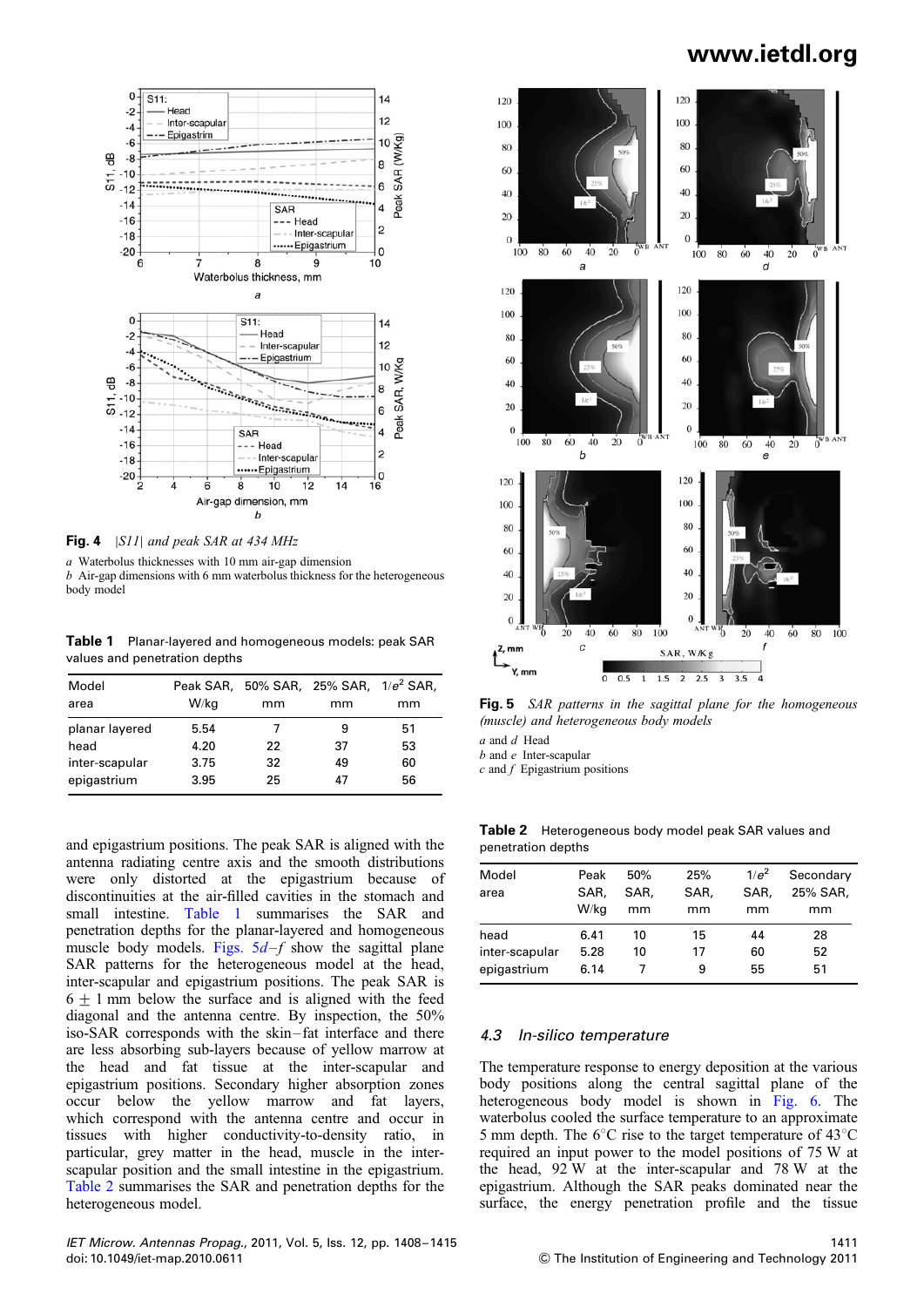

Fig. 4  $|S11|$  and peak SAR at 434 MHz

a Waterbolus thicknesses with 10 mm air-gap dimension

b Air-gap dimensions with 6 mm waterbolus thickness for the heterogeneous body model

Table 1 Planar-layered and homogeneous models: peak SAR values and penetration depths

| Model<br>area  | W/kg | mm | Peak SAR, 50% SAR, 25% SAR, 1/e <sup>2</sup> SAR,<br>mm | mm |
|----------------|------|----|---------------------------------------------------------|----|
| planar layered | 5.54 |    | 9                                                       | 51 |
| head           | 4.20 | 22 | 37                                                      | 53 |
| inter-scapular | 3.75 | 32 | 49                                                      | 60 |
| epigastrium    | 3.95 | 25 | 47                                                      | 56 |

and epigastrium positions. The peak SAR is aligned with the antenna radiating centre axis and the smooth distributions were only distorted at the epigastrium because of discontinuities at the air-filled cavities in the stomach and small intestine. Table 1 summarises the SAR and penetration depths for the planar-layered and homogeneous muscle body models. Figs.  $5d-f$  show the sagittal plane SAR patterns for the heterogeneous model at the head, inter-scapular and epigastrium positions. The peak SAR is  $6 + 1$  mm below the surface and is aligned with the feed diagonal and the antenna centre. By inspection, the 50% iso-SAR corresponds with the skin – fat interface and there are less absorbing sub-layers because of yellow marrow at the head and fat tissue at the inter-scapular and epigastrium positions. Secondary higher absorption zones occur below the yellow marrow and fat layers, which correspond with the antenna centre and occur in tissues with higher conductivity-to-density ratio, in particular, grey matter in the head, muscle in the interscapular position and the small intestine in the epigastrium. Table 2 summarises the SAR and penetration depths for the heterogeneous model.



Fig. 5 SAR patterns in the sagittal plane for the homogeneous (muscle) and heterogeneous body models

a and d Head

b and e Inter-scapular

 $\boldsymbol{c}$  and  $\boldsymbol{f}$  Epigastrium positions

|                    | Table 2 Heterogeneous body model peak SAR values and |  |  |
|--------------------|------------------------------------------------------|--|--|
| penetration depths |                                                      |  |  |

| Model          | Peak | 50%  | 25%  | $1/e^2$ | Secondary |
|----------------|------|------|------|---------|-----------|
| area           | SAR, | SAR. | SAR, | SAR,    | 25% SAR,  |
|                | W/kg | mm   | mm   | mm      | mm        |
| head           | 6.41 | 10   | 15   | 44      | 28        |
| inter-scapular | 5.28 | 10   | 17   | 60      | 52        |
| epigastrium    | 6.14 |      | 9    | 55      | 51        |

### 4.3 In-silico temperature

The temperature response to energy deposition at the various body positions along the central sagittal plane of the heterogeneous body model is shown in Fig. 6. The waterbolus cooled the surface temperature to an approximate 5 mm depth. The  $6^{\circ}$ C rise to the target temperature of 43 $^{\circ}$ C required an input power to the model positions of 75 W at the head, 92 W at the inter-scapular and 78 W at the epigastrium. Although the SAR peaks dominated near the surface, the energy penetration profile and the tissue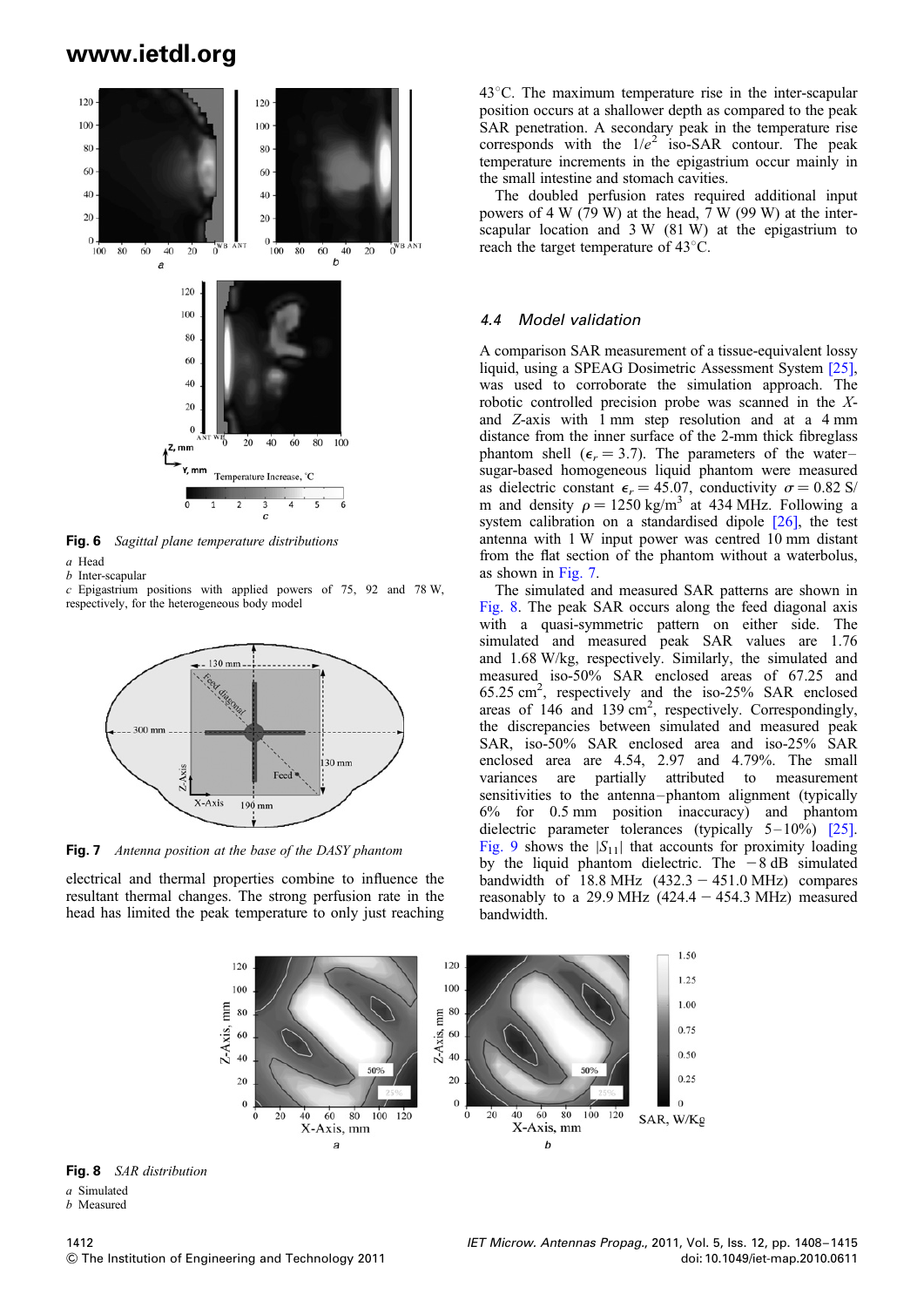

Fig. 6 Sagittal plane temperature distributions

a Head

b Inter-scapular

c Epigastrium positions with applied powers of 75, 92 and 78 W, respectively, for the heterogeneous body model



Fig. 7 Antenna position at the base of the DASY phantom

electrical and thermal properties combine to influence the resultant thermal changes. The strong perfusion rate in the head has limited the peak temperature to only just reaching  $43^{\circ}$ C. The maximum temperature rise in the inter-scapular position occurs at a shallower depth as compared to the peak SAR penetration. A secondary peak in the temperature rise corresponds with the  $1/e^2$  iso-SAR contour. The peak temperature increments in the epigastrium occur mainly in the small intestine and stomach cavities.

The doubled perfusion rates required additional input powers of 4 W (79 W) at the head, 7 W (99 W) at the interscapular location and 3 W (81 W) at the epigastrium to reach the target temperature of  $43^{\circ}$ C.

### 4.4 Model validation

A comparison SAR measurement of a tissue-equivalent lossy liquid, using a SPEAG Dosimetric Assessment System [25], was used to corroborate the simulation approach. The robotic controlled precision probe was scanned in the Xand Z-axis with 1 mm step resolution and at a 4 mm distance from the inner surface of the 2-mm thick fibreglass phantom shell ( $\epsilon_r = 3.7$ ). The parameters of the watersugar-based homogeneous liquid phantom were measured as dielectric constant  $\epsilon_r = 45.07$ , conductivity  $\sigma = 0.82$  S/ m and density  $\rho = 1250 \text{ kg/m}^3$  at 434 MHz. Following a system calibration on a standardised dipole [26], the test antenna with 1 W input power was centred 10 mm distant from the flat section of the phantom without a waterbolus, as shown in Fig. 7.

The simulated and measured SAR patterns are shown in Fig. 8. The peak SAR occurs along the feed diagonal axis with a quasi-symmetric pattern on either side. The simulated and measured peak SAR values are 1.76 and 1.68 W/kg, respectively. Similarly, the simulated and measured iso-50% SAR enclosed areas of 67.25 and 65.25 cm<sup>2</sup> , respectively and the iso-25% SAR enclosed areas of  $146$  and  $139$  cm<sup>2</sup>, respectively. Correspondingly, the discrepancies between simulated and measured peak SAR, iso-50% SAR enclosed area and iso-25% SAR enclosed area are 4.54, 2.97 and 4.79%. The small variances are partially attributed to measurement sensitivities to the antenna-phantom alignment (typically 6% for 0.5 mm position inaccuracy) and phantom dielectric parameter tolerances (typically  $5-10\%$ ) [25]. Fig. 9 shows the  $|S_{11}|$  that accounts for proximity loading by the liquid phantom dielectric. The  $-8$  dB simulated bandwidth of  $18.8 \text{ MHz}$  (432.3 - 451.0 MHz) compares reasonably to a 29.9 MHz  $(424.4 - 454.3 \text{ MHz})$  measured bandwidth.



Fig. 8 SAR distribution a Simulated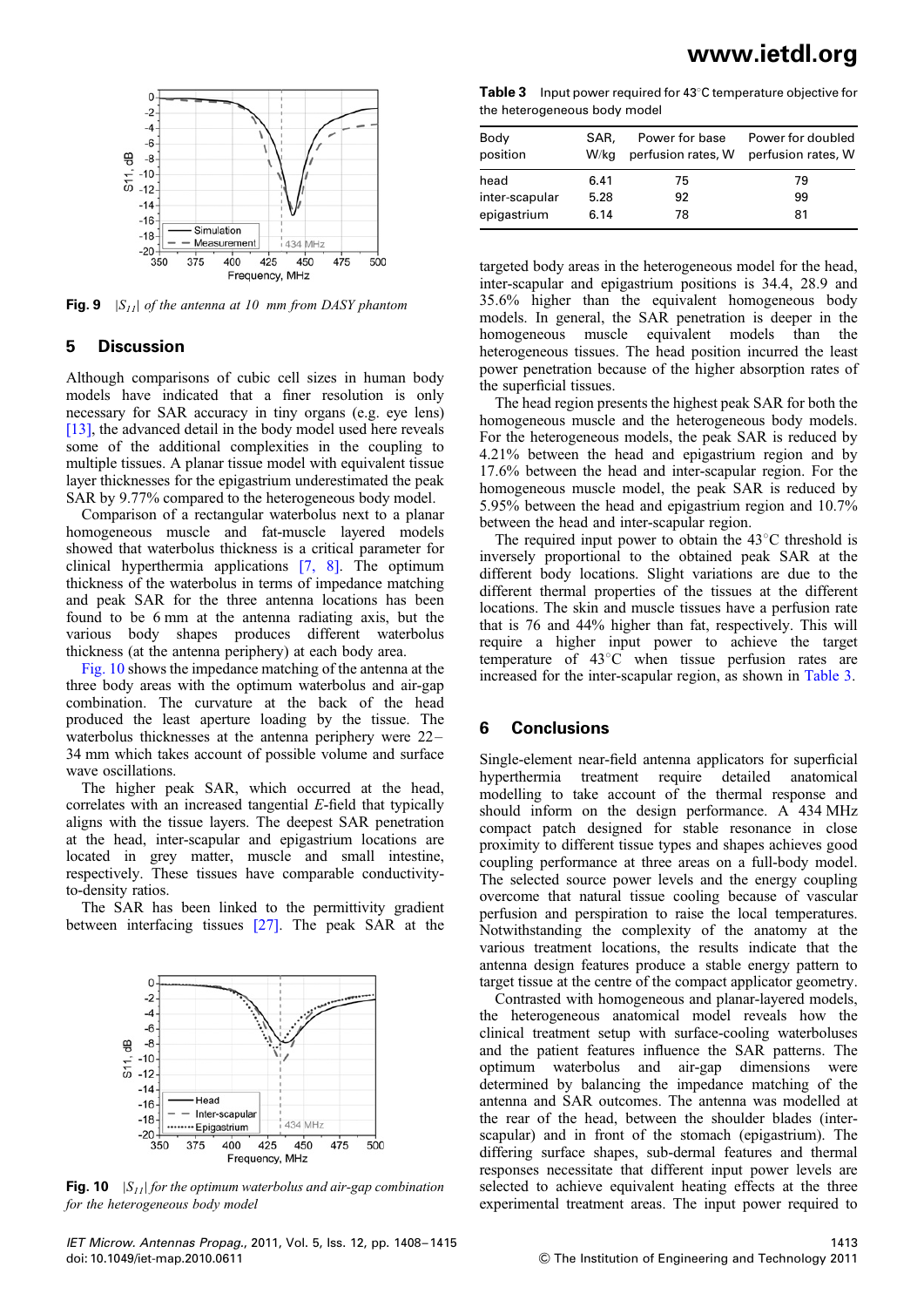

**Fig. 9**  $|S_{11}|$  of the antenna at 10 mm from DASY phantom

### 5 Discussion

Although comparisons of cubic cell sizes in human body models have indicated that a finer resolution is only necessary for SAR accuracy in tiny organs (e.g. eye lens) [13], the advanced detail in the body model used here reveals some of the additional complexities in the coupling to multiple tissues. A planar tissue model with equivalent tissue layer thicknesses for the epigastrium underestimated the peak SAR by 9.77% compared to the heterogeneous body model.

Comparison of a rectangular waterbolus next to a planar homogeneous muscle and fat-muscle layered models showed that waterbolus thickness is a critical parameter for clinical hyperthermia applications [7, 8]. The optimum thickness of the waterbolus in terms of impedance matching and peak SAR for the three antenna locations has been found to be 6 mm at the antenna radiating axis, but the various body shapes produces different waterbolus thickness (at the antenna periphery) at each body area.

Fig. 10 shows the impedance matching of the antenna at the three body areas with the optimum waterbolus and air-gap combination. The curvature at the back of the head produced the least aperture loading by the tissue. The waterbolus thicknesses at the antenna periphery were 22– 34 mm which takes account of possible volume and surface wave oscillations.

The higher peak SAR, which occurred at the head, correlates with an increased tangential E-field that typically aligns with the tissue layers. The deepest SAR penetration at the head, inter-scapular and epigastrium locations are located in grey matter, muscle and small intestine, respectively. These tissues have comparable conductivityto-density ratios.

The SAR has been linked to the permittivity gradient between interfacing tissues [27]. The peak SAR at the



**Fig. 10**  $|S_{11}|$  for the optimum waterbolus and air-gap combination for the heterogeneous body model

Table 3 Input power required for 43°C temperature objective for the heterogeneous body model

| Body<br>position | SAR.<br>W/ka | Power for base<br>perfusion rates, W | Power for doubled<br>perfusion rates, W |
|------------------|--------------|--------------------------------------|-----------------------------------------|
| head             | 6.41         | 75                                   | 79                                      |
| inter-scapular   | 5.28         | 92                                   | 99                                      |
| epigastrium      | 6.14         | 78                                   | 81                                      |

targeted body areas in the heterogeneous model for the head, inter-scapular and epigastrium positions is 34.4, 28.9 and 35.6% higher than the equivalent homogeneous body models. In general, the SAR penetration is deeper in the homogeneous muscle equivalent models than the heterogeneous tissues. The head position incurred the least power penetration because of the higher absorption rates of the superficial tissues.

The head region presents the highest peak SAR for both the homogeneous muscle and the heterogeneous body models. For the heterogeneous models, the peak SAR is reduced by 4.21% between the head and epigastrium region and by 17.6% between the head and inter-scapular region. For the homogeneous muscle model, the peak SAR is reduced by 5.95% between the head and epigastrium region and 10.7% between the head and inter-scapular region.

The required input power to obtain the  $43^{\circ}$ C threshold is inversely proportional to the obtained peak SAR at the different body locations. Slight variations are due to the different thermal properties of the tissues at the different locations. The skin and muscle tissues have a perfusion rate that is 76 and 44% higher than fat, respectively. This will require a higher input power to achieve the target temperature of  $43^{\circ}$ C when tissue perfusion rates are increased for the inter-scapular region, as shown in Table 3.

### 6 Conclusions

Single-element near-field antenna applicators for superficial hyperthermia treatment require detailed anatomical modelling to take account of the thermal response and should inform on the design performance. A 434 MHz compact patch designed for stable resonance in close proximity to different tissue types and shapes achieves good coupling performance at three areas on a full-body model. The selected source power levels and the energy coupling overcome that natural tissue cooling because of vascular perfusion and perspiration to raise the local temperatures. Notwithstanding the complexity of the anatomy at the various treatment locations, the results indicate that the antenna design features produce a stable energy pattern to target tissue at the centre of the compact applicator geometry.

Contrasted with homogeneous and planar-layered models, the heterogeneous anatomical model reveals how the clinical treatment setup with surface-cooling waterboluses and the patient features influence the SAR patterns. The optimum waterbolus and air-gap dimensions were determined by balancing the impedance matching of the antenna and SAR outcomes. The antenna was modelled at the rear of the head, between the shoulder blades (interscapular) and in front of the stomach (epigastrium). The differing surface shapes, sub-dermal features and thermal responses necessitate that different input power levels are selected to achieve equivalent heating effects at the three experimental treatment areas. The input power required to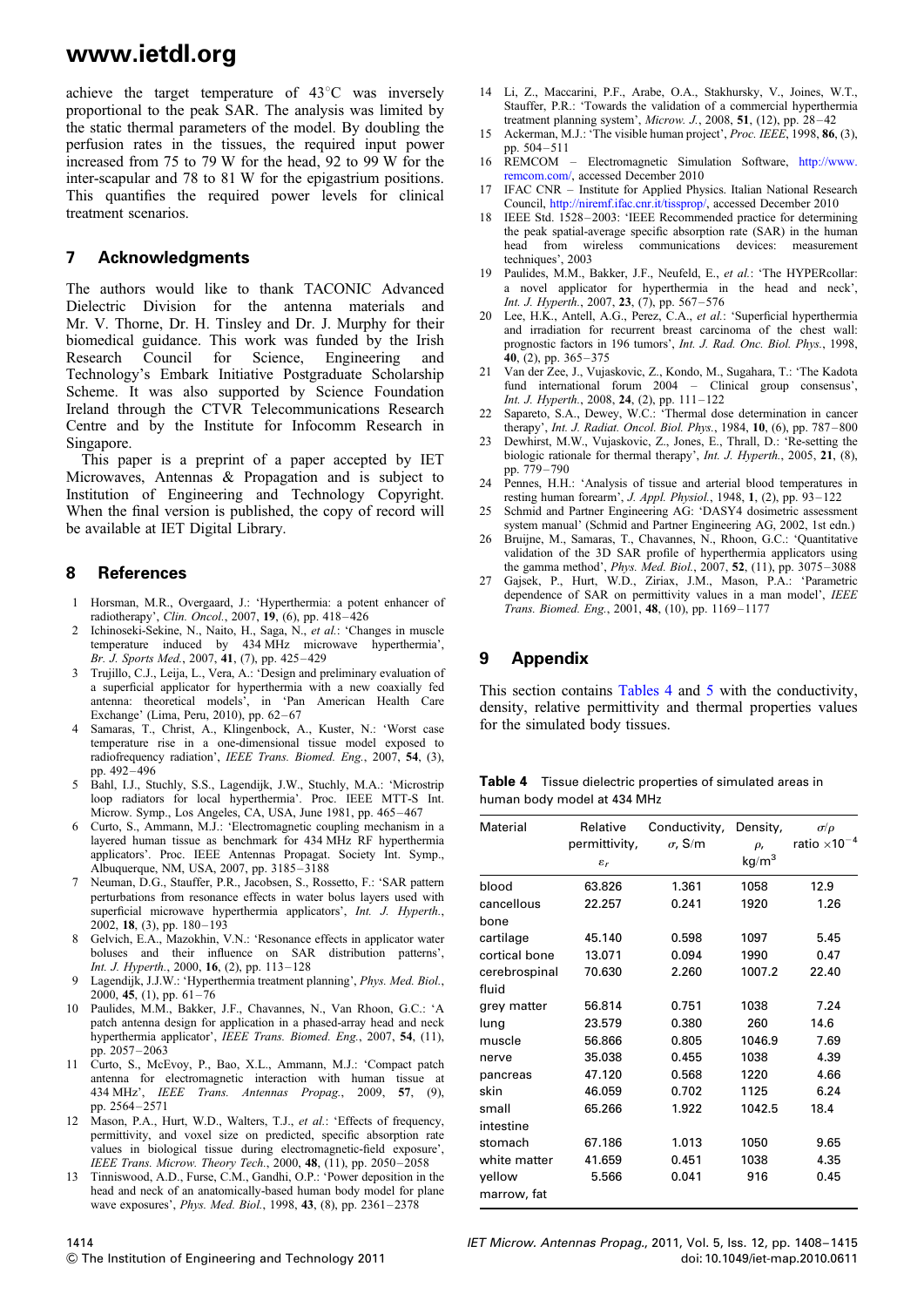achieve the target temperature of  $43^{\circ}$ C was inversely proportional to the peak SAR. The analysis was limited by the static thermal parameters of the model. By doubling the perfusion rates in the tissues, the required input power increased from 75 to 79 W for the head, 92 to 99 W for the inter-scapular and 78 to 81 W for the epigastrium positions. This quantifies the required power levels for clinical treatment scenarios.

### 7 Acknowledgments

The authors would like to thank TACONIC Advanced Dielectric Division for the antenna materials and Mr. V. Thorne, Dr. H. Tinsley and Dr. J. Murphy for their biomedical guidance. This work was funded by the Irish Research Council for Science, Engineering and Technology's Embark Initiative Postgraduate Scholarship Scheme. It was also supported by Science Foundation Ireland through the CTVR Telecommunications Research Centre and by the Institute for Infocomm Research in Singapore.

This paper is a preprint of a paper accepted by IET Microwaves, Antennas & Propagation and is subject to Institution of Engineering and Technology Copyright. When the final version is published, the copy of record will be available at IET Digital Library.

### 8 References

- 1 Horsman, M.R., Overgaard, J.: 'Hyperthermia: a potent enhancer of radiotherapy', Clin. Oncol., 2007, 19, (6), pp. 418-426
- 2 Ichinoseki-Sekine, N., Naito, H., Saga, N., et al.: 'Changes in muscle temperature induced by 434 MHz microwave hyperthermia', Br. J. Sports Med., 2007, 41, (7), pp. 425-429
- 3 Trujillo, C.J., Leija, L., Vera, A.: 'Design and preliminary evaluation of a superficial applicator for hyperthermia with a new coaxially fed antenna: theoretical models', in 'Pan American Health Care Exchange' (Lima, Peru, 2010), pp. 62-67
- 4 Samaras, T., Christ, A., Klingenbock, A., Kuster, N.: 'Worst case temperature rise in a one-dimensional tissue model exposed to radiofrequency radiation', IEEE Trans. Biomed. Eng., 2007, 54, (3), pp. 492–496
- 5 Bahl, I.J., Stuchly, S.S., Lagendijk, J.W., Stuchly, M.A.: 'Microstrip loop radiators for local hyperthermia'. Proc. IEEE MTT-S Int. Microw. Symp., Los Angeles, CA, USA, June 1981, pp. 465-467
- Curto, S., Ammann, M.J.: 'Electromagnetic coupling mechanism in a layered human tissue as benchmark for 434 MHz RF hyperthermia applicators'. Proc. IEEE Antennas Propagat. Society Int. Symp., Albuquerque, NM, USA, 2007, pp. 3185–3188
- 7 Neuman, D.G., Stauffer, P.R., Jacobsen, S., Rossetto, F.: 'SAR pattern perturbations from resonance effects in water bolus layers used with superficial microwave hyperthermia applicators', *Int. J. Hyperth.*, 2002, 18, (3), pp. 180–193
- 8 Gelvich, E.A., Mazokhin, V.N.: 'Resonance effects in applicator water boluses and their influence on SAR distribution patterns', Int. J. Hyperth., 2000, 16, (2), pp. 113– 128
- Lagendijk, J.J.W.: 'Hyperthermia treatment planning', Phys. Med. Biol., 2000, 45, (1), pp.  $61-76$
- 10 Paulides, M.M., Bakker, J.F., Chavannes, N., Van Rhoon, G.C.: 'A patch antenna design for application in a phased-array head and neck hyperthermia applicator', IEEE Trans. Biomed. Eng., 2007, 54, (11), pp. 2057– 2063
- 11 Curto, S., McEvoy, P., Bao, X.L., Ammann, M.J.: 'Compact patch antenna for electromagnetic interaction with human tissue at 434 MHz', IEEE Trans. Antennas Propag., 2009, 57, (9), pp. 2564– 2571
- 12 Mason, P.A., Hurt, W.D., Walters, T.J., et al.: 'Effects of frequency, permittivity, and voxel size on predicted, specific absorption rate values in biological tissue during electromagnetic-field exposure', IEEE Trans. Microw. Theory Tech., 2000, 48, (11), pp. 2050-2058
- 13 Tinniswood, A.D., Furse, C.M., Gandhi, O.P.: 'Power deposition in the head and neck of an anatomically-based human body model for plane wave exposures', *Phys. Med. Biol.*, 1998, 43, (8), pp. 2361-2378
- 14 Li, Z., Maccarini, P.F., Arabe, O.A., Stakhursky, V., Joines, W.T., Stauffer, P.R.: 'Towards the validation of a commercial hyperthermia treatment planning system', Microw. J., 2008, 51, (12), pp. 28–42
- 15 Ackerman, M.J.: 'The visible human project', Proc. IEEE, 1998, 86, (3), pp. 504–511
- 16 REMCOM Electromagnetic Simulation Software, http://www. remcom.com/, accessed December 2010
- 17 IFAC CNR Institute for Applied Physics. Italian National Research Council, http://niremf.ifac.cnr.it/tissprop/, accessed December 2010
- 18 IEEE Std. 1528– 2003: 'IEEE Recommended practice for determining the peak spatial-average specific absorption rate (SAR) in the human head from wireless communications devices: measurement techniques', 2003
- 19 Paulides, M.M., Bakker, J.F., Neufeld, E., et al.: 'The HYPERcollar: a novel applicator for hyperthermia in the head and neck', Int. J. Hyperth., 2007, 23, (7), pp. 567-576
- 20 Lee, H.K., Antell, A.G., Perez, C.A., et al.: 'Superficial hyperthermia and irradiation for recurrent breast carcinoma of the chest wall: prognostic factors in 196 tumors', Int. J. Rad. Onc. Biol. Phys., 1998, 40, (2), pp. 365–375
- 21 Van der Zee, J., Vujaskovic, Z., Kondo, M., Sugahara, T.: 'The Kadota fund international forum 2004 – Clinical group consensus', Int. J. Hyperth., 2008, 24, (2), pp. 111– 122
- 22 Sapareto, S.A., Dewey, W.C.: 'Thermal dose determination in cancer therapy', Int. J. Radiat. Oncol. Biol. Phys., 1984, 10, (6), pp. 787-800
- 23 Dewhirst, M.W., Vujaskovic, Z., Jones, E., Thrall, D.: 'Re-setting the biologic rationale for thermal therapy', Int. J. Hyperth., 2005, 21, (8), pp. 779–790
- 24 Pennes, H.H.: 'Analysis of tissue and arterial blood temperatures in resting human forearm', J. Appl. Physiol., 1948, 1, (2), pp.  $93-122$
- 25 Schmid and Partner Engineering AG: 'DASY4 dosimetric assessment system manual' (Schmid and Partner Engineering AG, 2002, 1st edn.)
- 26 Bruijne, M., Samaras, T., Chavannes, N., Rhoon, G.C.: 'Quantitative validation of the 3D SAR profile of hyperthermia applicators using the gamma method', *Phys. Med. Biol.*,  $2007$ , **52**,  $(11)$ , pp. 3075–3088
- 27 Gajsek, P., Hurt, W.D., Ziriax, J.M., Mason, P.A.: 'Parametric dependence of SAR on permittivity values in a man model', IEEE Trans. Biomed. Eng., 2001, 48, (10), pp. 1169– 1177

### 9 Appendix

This section contains Tables 4 and 5 with the conductivity, density, relative permittivity and thermal properties values for the simulated body tissues.

**Table 4** Tissue dielectric properties of simulated areas in human body model at 434 MHz

| Material      | Relative<br>permittivity, | Conductivity,<br>$\sigma$ , S/m | Density,<br>$\rho$ , | $\sigma/\rho$<br>ratio $\times$ 10 <sup>-4</sup> |
|---------------|---------------------------|---------------------------------|----------------------|--------------------------------------------------|
|               | $\varepsilon_r$           |                                 | kg/m <sup>3</sup>    |                                                  |
| blood         | 63.826                    | 1.361                           | 1058                 | 12.9                                             |
| cancellous    | 22.257                    | 0.241                           | 1920                 | 1.26                                             |
| bone          |                           |                                 |                      |                                                  |
| cartilage     | 45.140                    | 0.598                           | 1097                 | 5.45                                             |
| cortical bone | 13.071                    | 0.094                           | 1990                 | 0.47                                             |
| cerebrospinal | 70.630                    | 2.260                           | 1007.2               | 22.40                                            |
| fluid         |                           |                                 |                      |                                                  |
| grey matter   | 56.814                    | 0.751                           | 1038                 | 7.24                                             |
| lung          | 23.579                    | 0.380                           | 260                  | 14.6                                             |
| muscle        | 56.866                    | 0.805                           | 1046.9               | 7.69                                             |
| nerve         | 35.038                    | 0.455                           | 1038                 | 4.39                                             |
| pancreas      | 47.120                    | 0.568                           | 1220                 | 4.66                                             |
| skin          | 46.059                    | 0.702                           | 1125                 | 6.24                                             |
| small         | 65.266                    | 1.922                           | 1042.5               | 18.4                                             |
| intestine     |                           |                                 |                      |                                                  |
| stomach       | 67.186                    | 1.013                           | 1050                 | 9.65                                             |
| white matter  | 41.659                    | 0.451                           | 1038                 | 4.35                                             |
| yellow        | 5.566                     | 0.041                           | 916                  | 0.45                                             |
| marrow, fat   |                           |                                 |                      |                                                  |